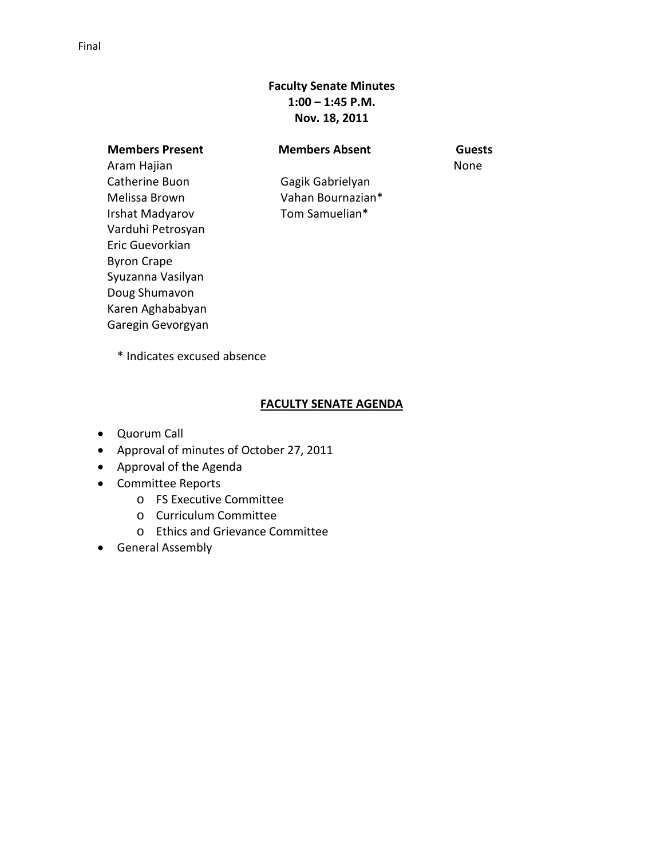# **Faculty Senate Minutes 1:00 – 1:45 P.M. Nov. 18, 2011**

**Members Present Members Absent Guests** Aram Hajian Catherine Buon Melissa Brown Irshat Madyarov Varduhi Petrosyan Eric Guevorkian Byron Crape Syuzanna Vasilyan Doug Shumavon Karen Aghababyan Garegin Gevorgyan

None

Gagik Gabrielyan Vahan Bournazian\* Tom Samuelian\*

\* Indicates excused absence

# **FACULTY SENATE AGENDA**

- Quorum Call
- Approval of minutes of October 27, 2011
- Approval of the Agenda
- Committee Reports
	- o FS Executive Committee
	- o Curriculum Committee
	- o Ethics and Grievance Committee
- General Assembly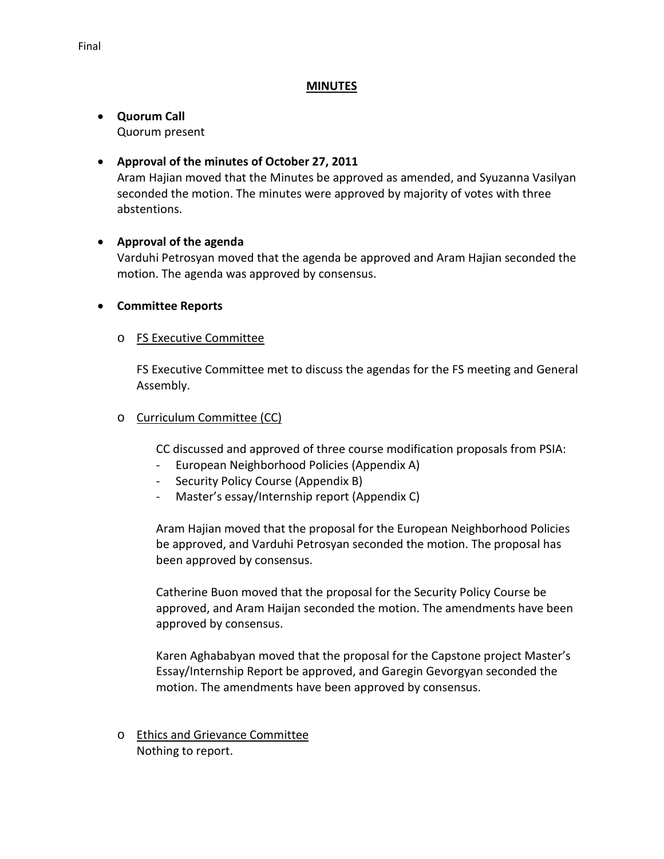#### **MINUTES**

#### • **Quorum Call** Quorum present

# • **Approval of the minutes of October 27, 2011**

Aram Hajian moved that the Minutes be approved as amended, and Syuzanna Vasilyan seconded the motion. The minutes were approved by majority of votes with three abstentions.

# • **Approval of the agenda**

Varduhi Petrosyan moved that the agenda be approved and Aram Hajian seconded the motion. The agenda was approved by consensus.

# • **Committee Reports**

# o FS Executive Committee

FS Executive Committee met to discuss the agendas for the FS meeting and General Assembly.

# o Curriculum Committee (CC)

CC discussed and approved of three course modification proposals from PSIA:

- European Neighborhood Policies (Appendix A)
- Security Policy Course (Appendix B)
- Master's essay/Internship report (Appendix C)

Aram Hajian moved that the proposal for the European Neighborhood Policies be approved, and Varduhi Petrosyan seconded the motion. The proposal has been approved by consensus.

Catherine Buon moved that the proposal for the Security Policy Course be approved, and Aram Haijan seconded the motion. The amendments have been approved by consensus.

Karen Aghababyan moved that the proposal for the Capstone project Master's Essay/Internship Report be approved, and Garegin Gevorgyan seconded the motion. The amendments have been approved by consensus.

o Ethics and Grievance Committee Nothing to report.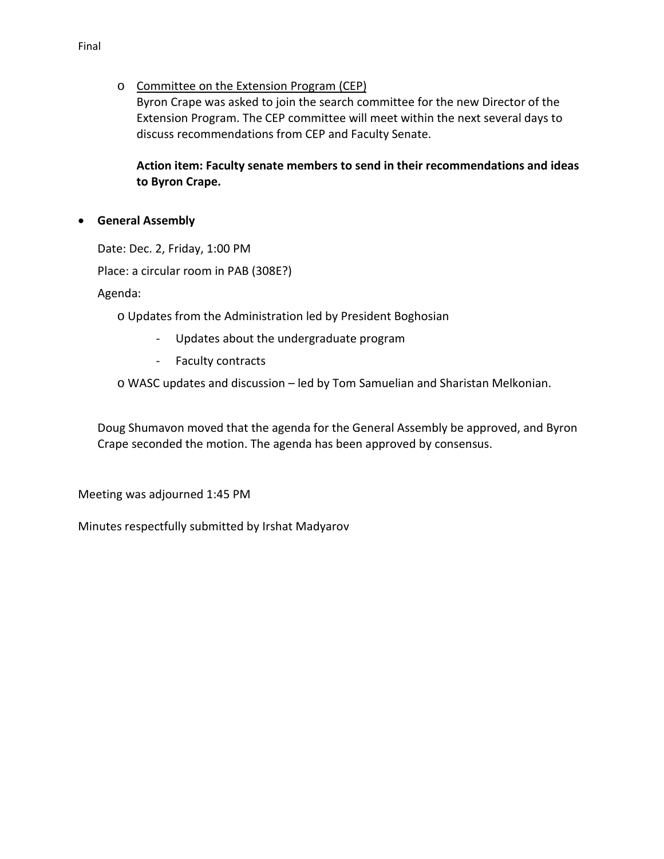# o Committee on the Extension Program (CEP)

Byron Crape was asked to join the search committee for the new Director of the Extension Program. The CEP committee will meet within the next several days to discuss recommendations from CEP and Faculty Senate.

# **Action item: Faculty senate members to send in their recommendations and ideas to Byron Crape.**

# • **General Assembly**

Date: Dec. 2, Friday, 1:00 PM

Place: a circular room in PAB (308E?)

Agenda:

- o Updates from the Administration led by President Boghosian
	- Updates about the undergraduate program
	- Faculty contracts

o WASC updates and discussion – led by Tom Samuelian and Sharistan Melkonian.

Doug Shumavon moved that the agenda for the General Assembly be approved, and Byron Crape seconded the motion. The agenda has been approved by consensus.

Meeting was adjourned 1:45 PM

Minutes respectfully submitted by Irshat Madyarov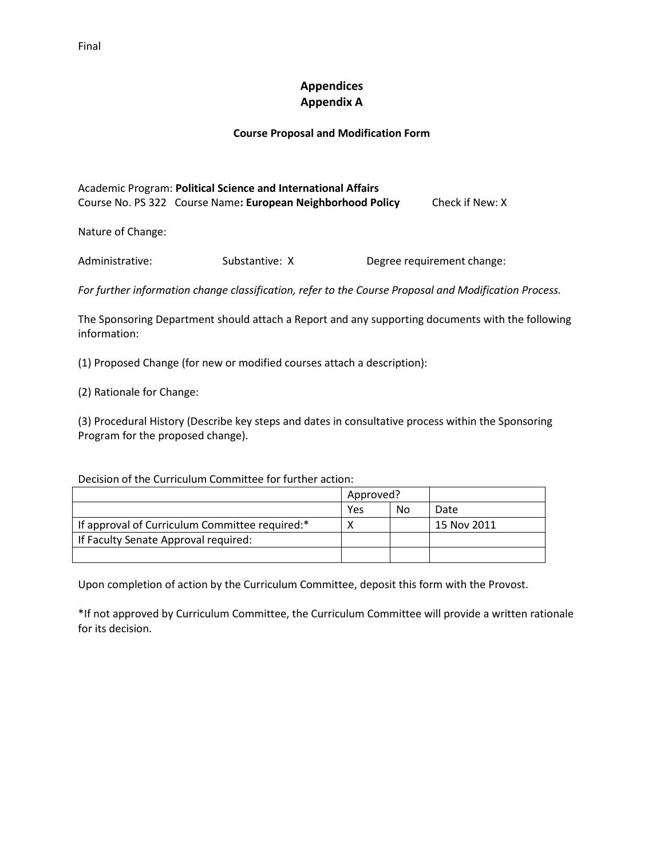# **Appendices Appendix A**

#### **Course Proposal and Modification Form**

Academic Program: **Political Science and International Affairs** Course No. PS 322Course Name**: European Neighborhood Policy** Check if New: X

Nature of Change:

Administrative: Substantive: X Degree requirement change:

*For further information change classification, refer to the Course Proposal and Modification Process.*

The Sponsoring Department should attach a Report and any supporting documents with the following information:

(1) Proposed Change (for new or modified courses attach a description):

(2) Rationale for Change:

(3) Procedural History (Describe key steps and dates in consultative process within the Sponsoring Program for the proposed change).

Decision of the Curriculum Committee for further action:

|                                                | Approved? |    |             |
|------------------------------------------------|-----------|----|-------------|
|                                                | Yes       | No | Date        |
| If approval of Curriculum Committee required:* |           |    | 15 Nov 2011 |
| If Faculty Senate Approval required:           |           |    |             |
|                                                |           |    |             |

Upon completion of action by the Curriculum Committee, deposit this form with the Provost.

\*If not approved by Curriculum Committee, the Curriculum Committee will provide a written rationale for its decision.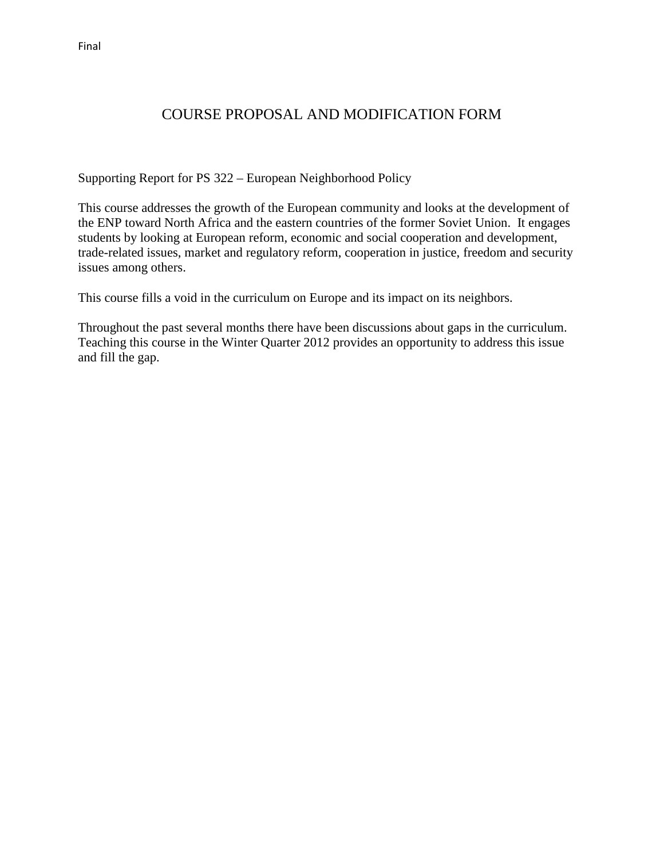# COURSE PROPOSAL AND MODIFICATION FORM

Supporting Report for PS 322 – European Neighborhood Policy

This course addresses the growth of the European community and looks at the development of the ENP toward North Africa and the eastern countries of the former Soviet Union. It engages students by looking at European reform, economic and social cooperation and development, trade-related issues, market and regulatory reform, cooperation in justice, freedom and security issues among others.

This course fills a void in the curriculum on Europe and its impact on its neighbors.

Throughout the past several months there have been discussions about gaps in the curriculum. Teaching this course in the Winter Quarter 2012 provides an opportunity to address this issue and fill the gap.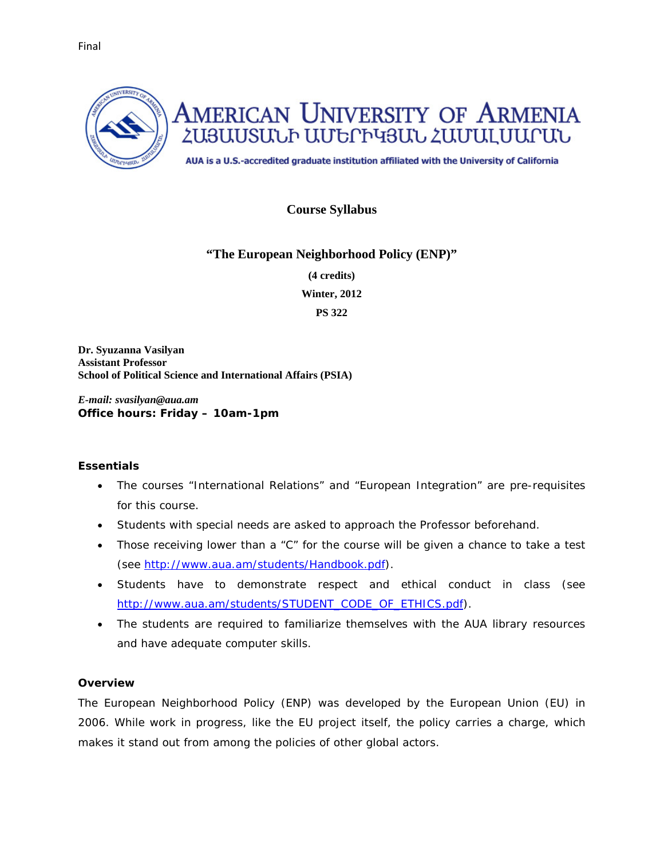

# **Course Syllabus**

# **"The European Neighborhood Policy (ENP)"**

**(4 credits)** 

**Winter, 2012**

**PS 322**

**Dr. Syuzanna Vasilyan Assistant Professor School of Political Science and International Affairs (PSIA)** 

*E-mail: svasilyan@aua.am Office hours: Friday – 10am-1pm*

#### **Essentials**

- The courses "International Relations" and "European Integration" are pre-requisites for this course.
- Students with special needs are asked to approach the Professor beforehand.
- Those receiving lower than a "C" for the course will be given a chance to take a test (see [http://www.aua.am/students/Handbook.pdf\)](http://www.aua.am/students/Handbook.pdf).
- Students have to demonstrate respect and ethical conduct in class (see [http://www.aua.am/students/STUDENT\\_CODE\\_OF\\_ETHICS.pdf\)](http://www.aua.am/students/STUDENT_CODE_OF_ETHICS.pdf).
- The students are required to familiarize themselves with the AUA library resources and have adequate computer skills.

# **Overview**

The European Neighborhood Policy (ENP) was developed by the European Union (EU) in 2006. While work in progress, like the EU project itself, the policy carries a charge, which makes it stand out from among the policies of other global actors.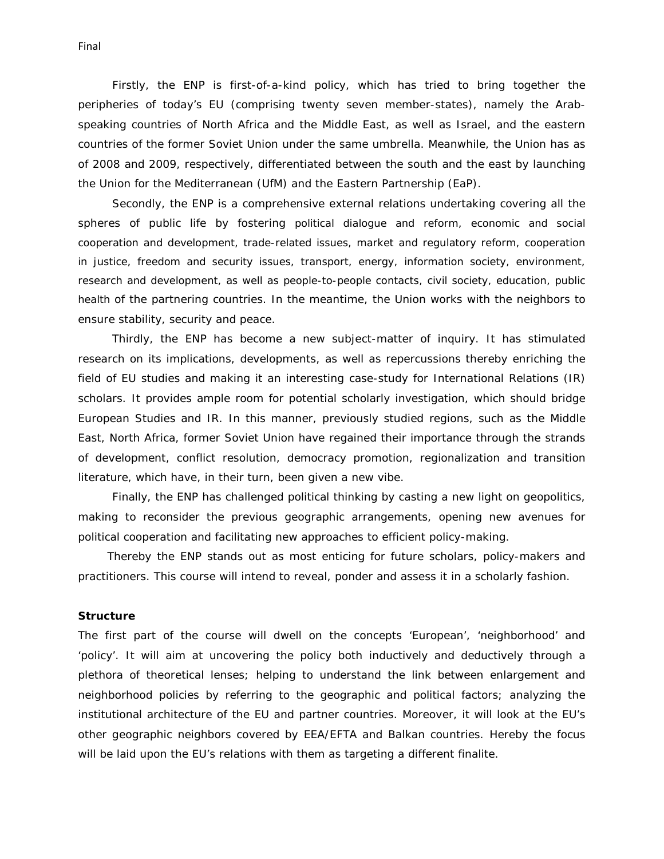Firstly, the ENP is first-of-a-kind policy, which has tried to bring together the peripheries of today's EU (comprising twenty seven member-states), namely the Arabspeaking countries of North Africa and the Middle East, as well as Israel, and the eastern countries of the former Soviet Union under the same umbrella. Meanwhile, the Union has as of 2008 and 2009, respectively, differentiated between the south and the east by launching the Union for the Mediterranean (UfM) and the Eastern Partnership (EaP).

Secondly, the ENP is a comprehensive external relations undertaking covering all the spheres of public life by fostering political dialogue and reform, economic and social cooperation and development, trade-related issues, market and regulatory reform, cooperation in justice, freedom and security issues, transport, energy, information society, environment, research and development, as well as people-to-people contacts, civil society, education, public health of the partnering countries. In the meantime, the Union works with the neighbors to ensure stability, security and peace.

Thirdly, the ENP has become a new subject-matter of inquiry. It has stimulated research on its implications, developments, as well as repercussions thereby enriching the field of EU studies and making it an interesting case-study for International Relations (IR) scholars. It provides ample room for potential scholarly investigation, which should bridge European Studies and IR. In this manner, previously studied regions, such as the Middle East, North Africa, former Soviet Union have regained their importance through the strands of development, conflict resolution, democracy promotion, regionalization and transition literature, which have, in their turn, been given a new vibe.

Finally, the ENP has challenged political thinking by casting a new light on geopolitics, making to reconsider the previous geographic arrangements, opening new avenues for political cooperation and facilitating new approaches to efficient policy-making.

Thereby the ENP stands out as most enticing for future scholars, policy-makers and practitioners. This course will intend to reveal, ponder and assess it in a scholarly fashion.

#### **Structure**

The first part of the course will dwell on the concepts 'European', 'neighborhood' and 'policy'. It will aim at uncovering the policy both inductively and deductively through a plethora of theoretical lenses; helping to understand the link between enlargement and neighborhood policies by referring to the geographic and political factors; analyzing the institutional architecture of the EU and partner countries. Moreover, it will look at the EU's other geographic neighbors covered by EEA/EFTA and Balkan countries. Hereby the focus will be laid upon the EU's relations with them as targeting a different *finalite*.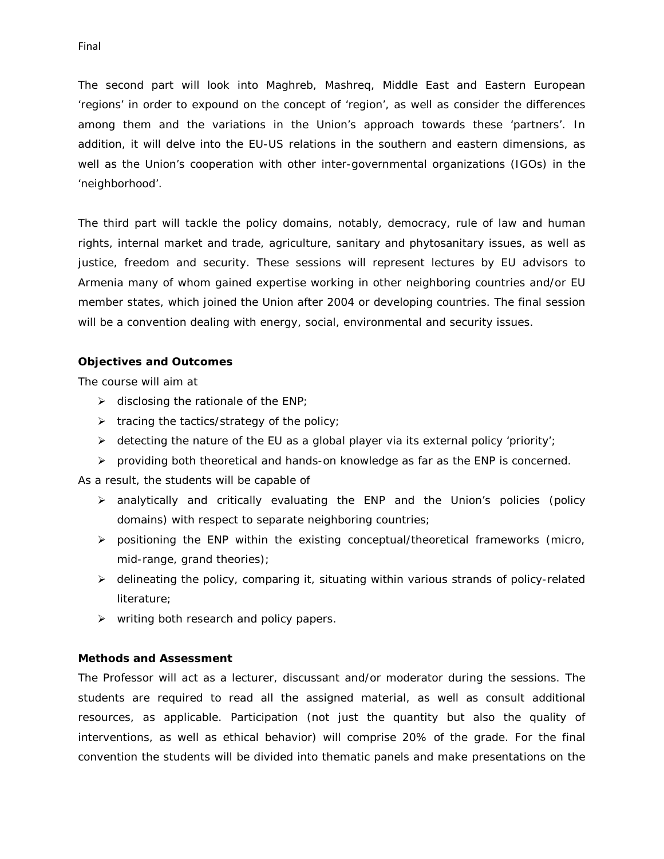The second part will look into Maghreb, Mashreq, Middle East and Eastern European 'regions' in order to expound on the concept of 'region', as well as consider the differences among them and the variations in the Union's approach towards these 'partners'. In addition, it will delve into the EU-US relations in the southern and eastern dimensions, as well as the Union's cooperation with other inter-governmental organizations (IGOs) in the 'neighborhood'.

The third part will tackle the policy domains, notably, democracy, rule of law and human rights, internal market and trade, agriculture, sanitary and phytosanitary issues, as well as justice, freedom and security. These sessions will represent lectures by EU advisors to Armenia many of whom gained expertise working in other neighboring countries and/or EU member states, which joined the Union after 2004 or developing countries. The final session will be a convention dealing with energy, social, environmental and security issues.

#### **Objectives and Outcomes**

The course will aim at

- $\triangleright$  disclosing the rationale of the ENP;
- $\triangleright$  tracing the tactics/strategy of the policy;
- detecting the nature of the EU as a global player *via* its external policy 'priority';
- $\triangleright$  providing both theoretical and hands-on knowledge as far as the ENP is concerned.

As a result, the students will be capable of

- analytically and critically evaluating the ENP and the Union's policies (policy domains) with respect to separate neighboring countries;
- $\triangleright$  positioning the ENP within the existing conceptual/theoretical frameworks (micro, mid-range, grand theories);
- $\triangleright$  delineating the policy, comparing it, situating within various strands of policy-related literature;
- $\triangleright$  writing both research and policy papers.

#### **Methods and Assessment**

The Professor will act as a lecturer, discussant and/or moderator during the sessions. The students are required to read all the assigned material, as well as consult additional resources, as applicable. Participation (not just the quantity but also the quality of interventions, as well as ethical behavior) will comprise 20% of the grade. For the final convention the students will be divided into thematic panels and make presentations on the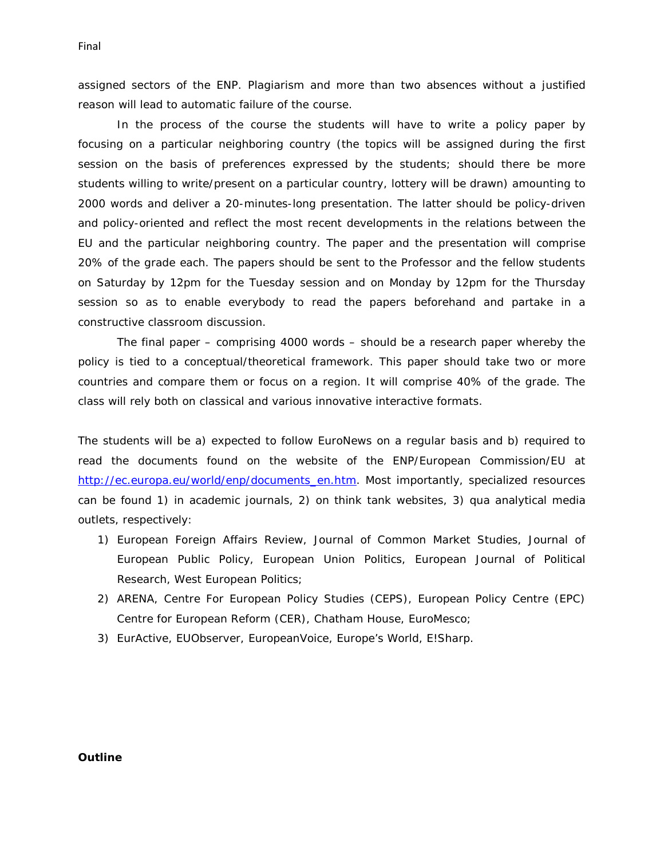assigned sectors of the ENP. Plagiarism and more than two absences without a justified reason will lead to automatic failure of the course.

In the process of the course the students will have to write a policy paper by focusing on a particular neighboring country (the topics will be assigned during the first session on the basis of preferences expressed by the students; should there be more students willing to write/present on a particular country, lottery will be drawn) amounting to 2000 words and deliver a 20-minutes-long presentation. The latter should be policy-driven and policy-oriented and reflect the most recent developments in the relations between the EU and the particular neighboring country. The paper and the presentation will comprise 20% of the grade each. The papers should be sent to the Professor and the fellow students on Saturday by 12pm for the Tuesday session and on Monday by 12pm for the Thursday session so as to enable everybody to read the papers beforehand and partake in a constructive classroom discussion.

The final paper – comprising 4000 words – should be a research paper whereby the policy is tied to a conceptual/theoretical framework. This paper should take two or more countries and compare them or focus on a region. It will comprise 40% of the grade. The class will rely both on classical and various innovative interactive formats.

The students will be a) expected to follow EuroNews on a regular basis and b) required to read the documents found on the website of the ENP/European Commission/EU at [http://ec.europa.eu/world/enp/documents\\_en.htm.](http://ec.europa.eu/world/enp/documents_en.htm) Most importantly, specialized resources can be found 1) in academic journals, 2) on think tank websites, 3) *qua* analytical media outlets, respectively:

- 1) European Foreign Affairs Review, Journal of Common Market Studies, Journal of European Public Policy, European Union Politics, European Journal of Political Research, West European Politics;
- 2) ARENA, Centre For European Policy Studies (CEPS), European Policy Centre (EPC) Centre for European Reform (CER), Chatham House, EuroMesco;
- 3) EurActive, EUObserver, EuropeanVoice, Europe's World, E!Sharp.

#### **Outline**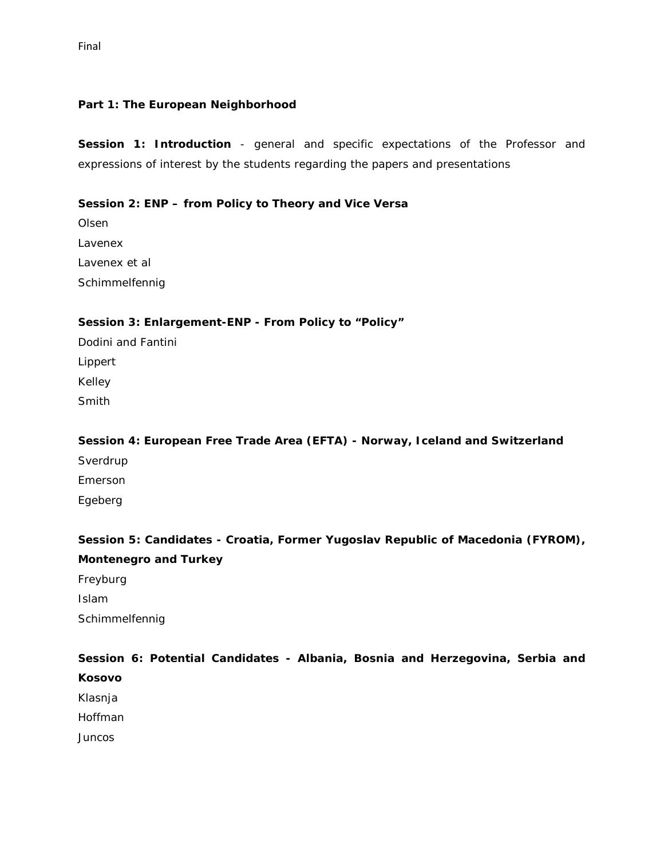#### **Part 1: The European Neighborhood**

**Session 1: Introduction** - general and specific expectations of the Professor and expressions of interest by the students regarding the papers and presentations

# *Session 2: ENP – from Policy to Theory and Vice Versa*

Olsen Lavenex Lavenex et al Schimmelfennig

#### *Session 3: Enlargement-ENP - From Policy to "Policy"*

Dodini and Fantini Lippert Kelley Smith

Schimmelfennig

*Session 4: European Free Trade Area (EFTA) - Norway, Iceland and Switzerland* Sverdrup Emerson Egeberg

# *Session 5: Candidates - Croatia, Former Yugoslav Republic of Macedonia (FYROM), Montenegro and Turkey* Freyburg Islam

*Session 6: Potential Candidates - Albania, Bosnia and Herzegovina, Serbia and Kosovo* Klasnja Hoffman **Juncos**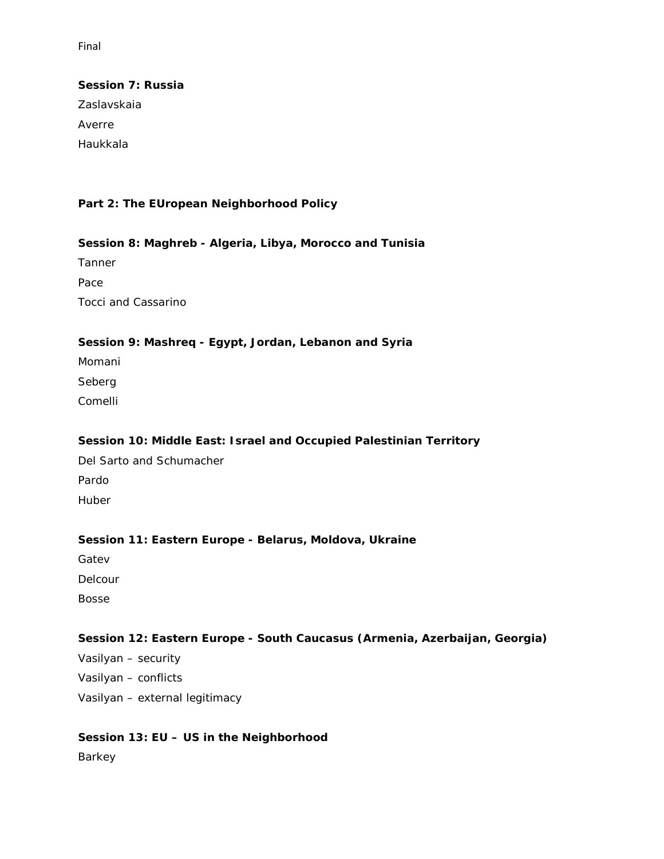# *Session 7: Russia*

Zaslavskaia Averre Haukkala

# **Part 2: The EUropean Neighborhood Policy**

# *Session 8: Maghreb - Algeria, Libya, Morocco and Tunisia*

Tanner Pace Tocci and Cassarino

# *Session 9: Mashreq - Egypt, Jordan, Lebanon and Syria*

Momani Seberg Comelli

# *Session 10: Middle East: Israel and Occupied Palestinian Territory*

Del Sarto and Schumacher Pardo Huber

# *Session 11: Eastern Europe - Belarus, Moldova, Ukraine*

Gatev

Delcour

Bosse

# *Session 12: Eastern Europe - South Caucasus (Armenia, Azerbaijan, Georgia)*

Vasilyan – security Vasilyan – conflicts Vasilyan – external legitimacy

# *Session 13: EU – US in the Neighborhood*

Barkey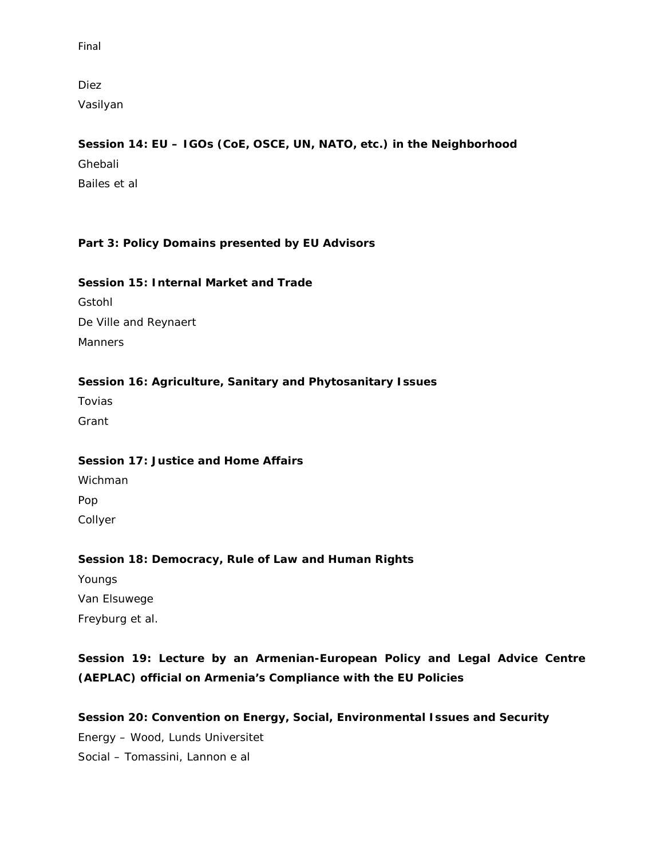Diez

Vasilyan

# *Session 14: EU – IGOs (CoE, OSCE, UN, NATO, etc.) in the Neighborhood*

Ghebali Bailes et al

# **Part 3: Policy Domains presented by EU Advisors**

# *Session 15: Internal Market and Trade*

Gstohl De Ville and Reynaert **Manners** 

# *Session 16: Agriculture, Sanitary and Phytosanitary Issues*

Tovias Grant

# *Session 17: Justice and Home Affairs*  Wichman

Pop

Collyer

# *Session 18: Democracy, Rule of Law and Human Rights*

Youngs Van Elsuwege Freyburg et al.

# *Session 19: Lecture by an Armenian-European Policy and Legal Advice Centre (AEPLAC) official on Armenia's Compliance with the EU Policies*

*Session 20: Convention on Energy, Social, Environmental Issues and Security* Energy – Wood, Lunds Universitet Social – Tomassini, Lannon e al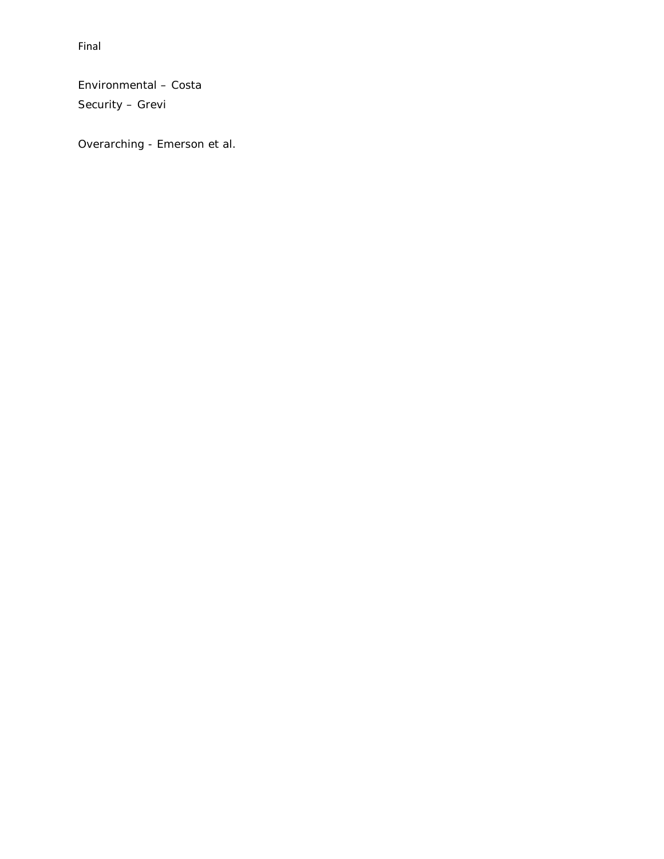Environmental – Costa

Security – Grevi

Overarching - Emerson et al.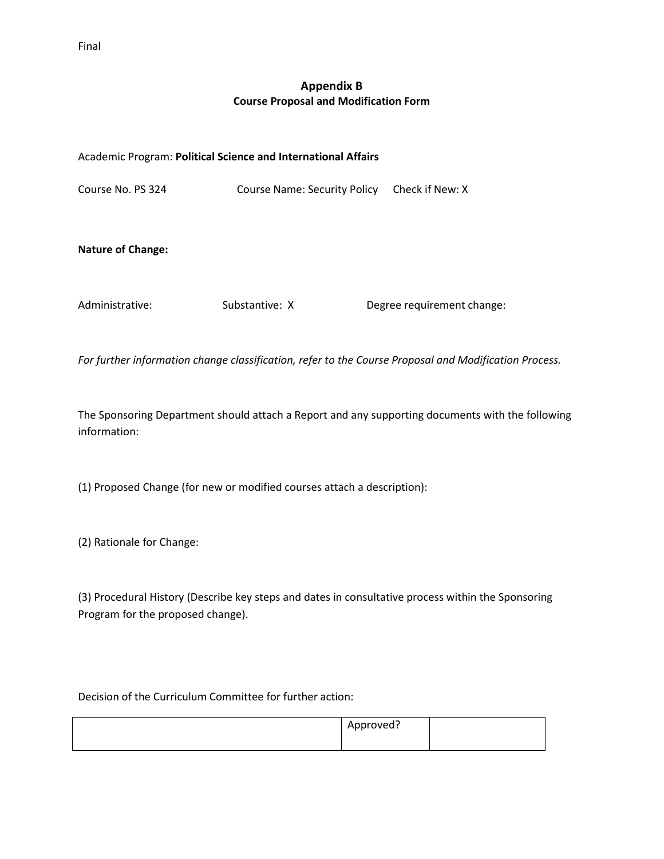# **Appendix B Course Proposal and Modification Form**

#### Academic Program: **Political Science and International Affairs**

Course No. PS 324 Course Name: Security Policy Check if New: X

#### **Nature of Change:**

Administrative: Substantive: X Degree requirement change:

*For further information change classification, refer to the Course Proposal and Modification Process.*

The Sponsoring Department should attach a Report and any supporting documents with the following information:

(1) Proposed Change (for new or modified courses attach a description):

(2) Rationale for Change:

(3) Procedural History (Describe key steps and dates in consultative process within the Sponsoring Program for the proposed change).

Decision of the Curriculum Committee for further action:

| Approved? |  |
|-----------|--|
|           |  |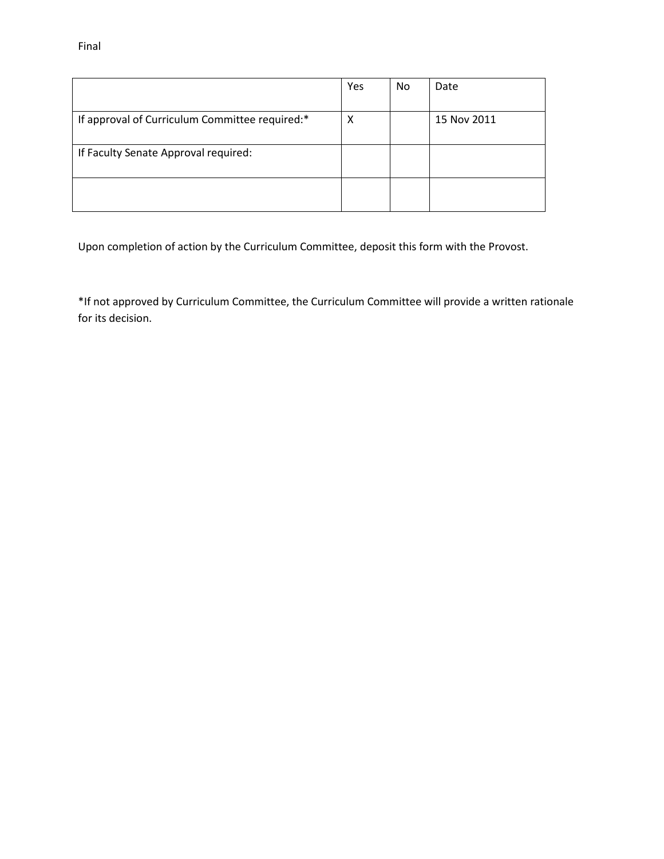|                                                | Yes | <b>No</b> | Date        |
|------------------------------------------------|-----|-----------|-------------|
| If approval of Curriculum Committee required:* | х   |           | 15 Nov 2011 |
| If Faculty Senate Approval required:           |     |           |             |
|                                                |     |           |             |

Upon completion of action by the Curriculum Committee, deposit this form with the Provost.

\*If not approved by Curriculum Committee, the Curriculum Committee will provide a written rationale for its decision.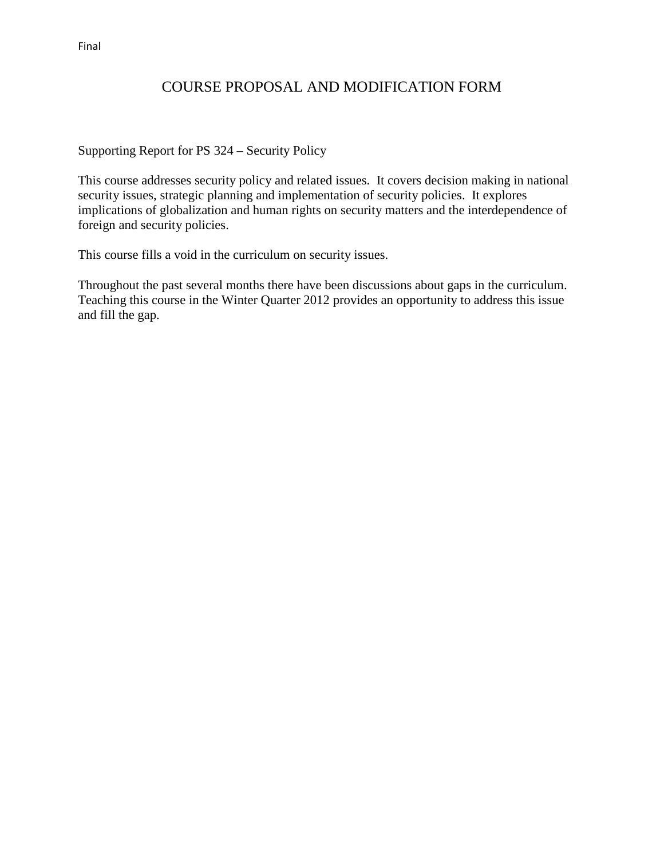# COURSE PROPOSAL AND MODIFICATION FORM

Supporting Report for PS 324 – Security Policy

This course addresses security policy and related issues. It covers decision making in national security issues, strategic planning and implementation of security policies. It explores implications of globalization and human rights on security matters and the interdependence of foreign and security policies.

This course fills a void in the curriculum on security issues.

Throughout the past several months there have been discussions about gaps in the curriculum. Teaching this course in the Winter Quarter 2012 provides an opportunity to address this issue and fill the gap.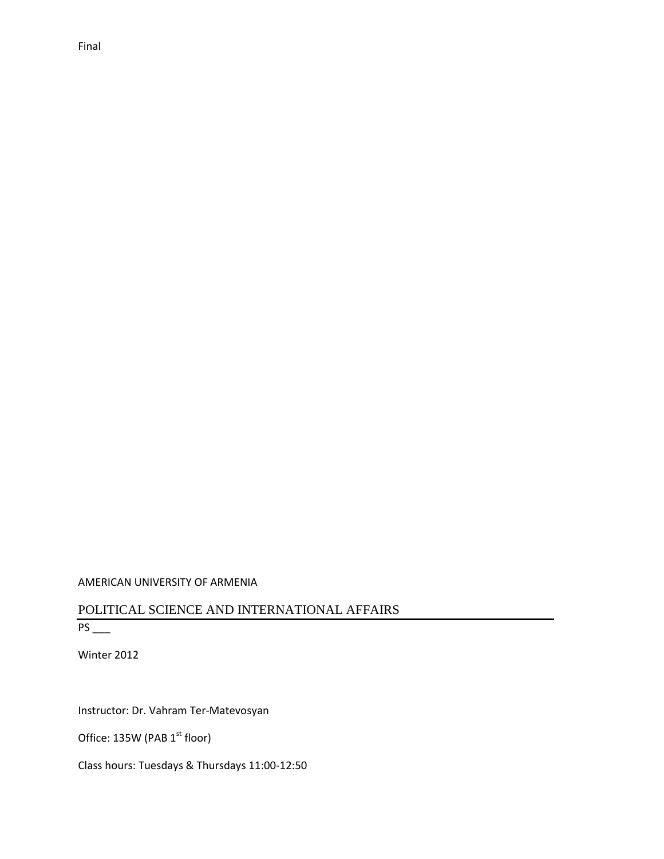#### AMERICAN UNIVERSITY OF ARMENIA

# POLITICAL SCIENCE AND INTERNATIONAL AFFAIRS PS \_\_\_

Winter 2012

Instructor: Dr. Vahram Ter-Matevosyan

Office: 135W (PAB 1<sup>st</sup> floor)

Class hours: Tuesdays & Thursdays 11:00-12:50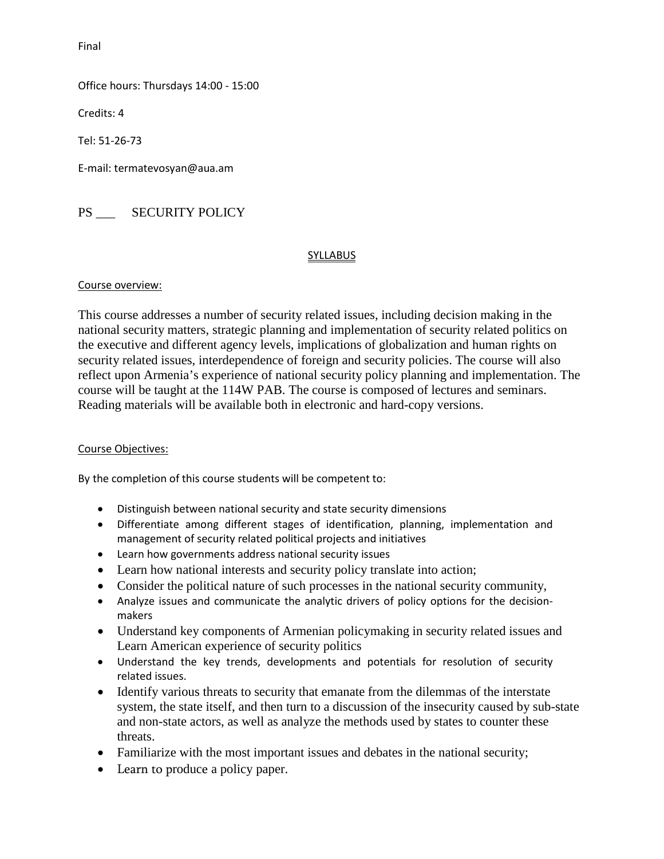Office hours: Thursdays 14:00 - 15:00

Credits: 4

Tel: 51-26-73

E-mail: termatevosyan@aua.am

PS \_\_\_ SECURITY POLICY

#### **SYLLABUS**

#### Course overview:

This course addresses a number of security related issues, including decision making in the national security matters, strategic planning and implementation of security related politics on the executive and different agency levels, implications of globalization and human rights on security related issues, interdependence of foreign and security policies. The course will also reflect upon Armenia's experience of national security policy planning and implementation. The course will be taught at the 114W PAB. The course is composed of lectures and seminars. Reading materials will be available both in electronic and hard-copy versions.

#### Course Objectives:

By the completion of this course students will be competent to:

- Distinguish between national security and state security dimensions
- Differentiate among different stages of identification, planning, implementation and management of security related political projects and initiatives
- Learn how governments address national security issues
- Learn how national interests and security policy translate into action;
- Consider the political nature of such processes in the national security community,
- Analyze issues and communicate the analytic drivers of policy options for the decisionmakers
- Understand key components of Armenian policymaking in security related issues and Learn American experience of security politics
- Understand the key trends, developments and potentials for resolution of security related issues.
- Identify various threats to security that emanate from the dilemmas of the interstate system, the state itself, and then turn to a discussion of the insecurity caused by sub-state and non-state actors, as well as analyze the methods used by states to counter these threats.
- Familiarize with the most important issues and debates in the national security;
- Learn to produce a policy paper.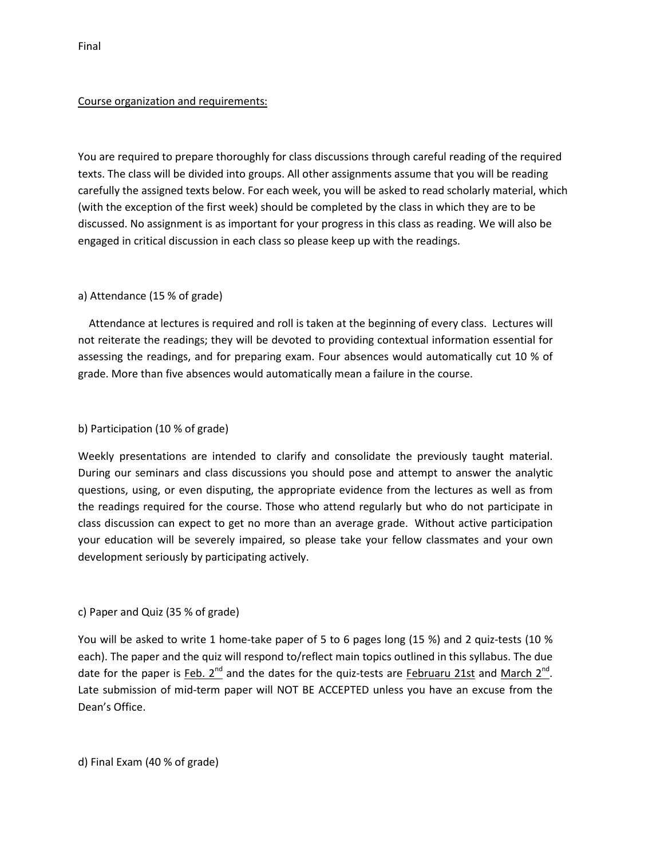#### Course organization and requirements:

You are required to prepare thoroughly for class discussions through careful reading of the required texts. The class will be divided into groups. All other assignments assume that you will be reading carefully the assigned texts below. For each week, you will be asked to read scholarly material, which (with the exception of the first week) should be completed by the class in which they are to be discussed. No assignment is as important for your progress in this class as reading. We will also be engaged in critical discussion in each class so please keep up with the readings.

#### a) Attendance (15 % of grade)

 Attendance at lectures is required and roll is taken at the beginning of every class. Lectures will not reiterate the readings; they will be devoted to providing contextual information essential for assessing the readings, and for preparing exam. Four absences would automatically cut 10 % of grade. More than five absences would automatically mean a failure in the course.

#### b) Participation (10 % of grade)

Weekly presentations are intended to clarify and consolidate the previously taught material. During our seminars and class discussions you should pose and attempt to answer the analytic questions, using, or even disputing, the appropriate evidence from the lectures as well as from the readings required for the course. Those who attend regularly but who do not participate in class discussion can expect to get no more than an average grade. Without active participation your education will be severely impaired, so please take your fellow classmates and your own development seriously by participating actively.

#### c) Paper and Quiz (35 % of grade)

You will be asked to write 1 home-take paper of 5 to 6 pages long (15 %) and 2 quiz-tests (10 % each). The paper and the quiz will respond to/reflect main topics outlined in this syllabus. The due date for the paper is Feb.  $2^{nd}$  and the dates for the quiz-tests are Februaru 21st and March  $2^{nd}$ . Late submission of mid-term paper will NOT BE ACCEPTED unless you have an excuse from the Dean's Office.

#### d) Final Exam (40 % of grade)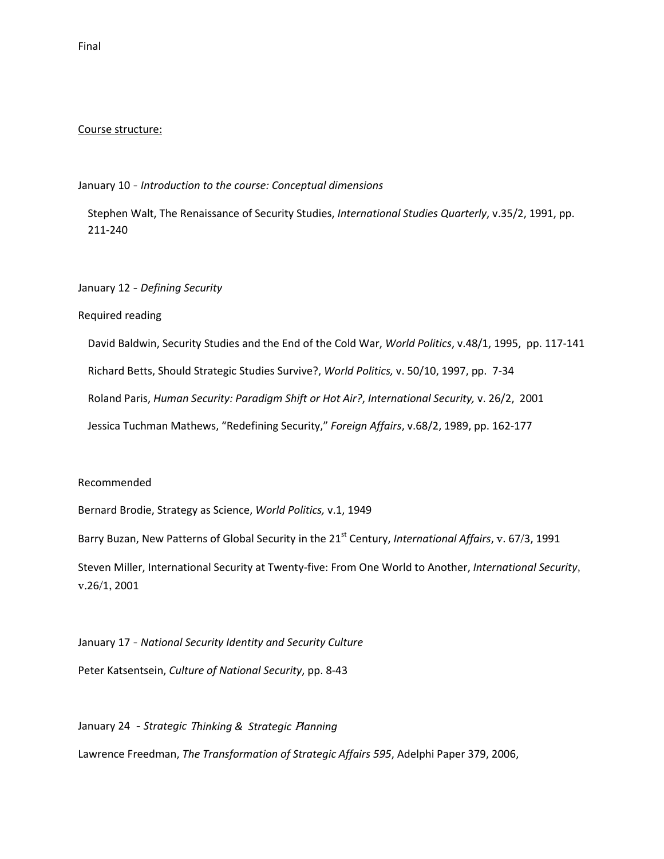#### Course structure:

#### January 10 - *Introduction to the course: Conceptual dimensions*

Stephen Walt, The Renaissance of Security Studies, *International Studies Quarterly*, v.35/2, 1991, pp. 211-240

#### January 12 - *Defining Security*

#### Required reading

David Baldwin, Security Studies and the End of the Cold War, *World Politics*, v.48/1, 1995, pp. 117-141 Richard Betts, Should Strategic Studies Survive?, *World Politics,* v. 50/10, 1997, pp. 7-34 Roland Paris, *Human Security: Paradigm Shift or Hot Air?*, *International Security,* v. 26/2, 2001 Jessica Tuchman Mathews, "Redefining Security," *Foreign Affairs*, v.68/2, 1989, pp. 162-177

#### Recommended

Bernard Brodie, Strategy as Science, *World Politics,* v.1, 1949

Barry Buzan, New Patterns of Global Security in the 21st Century, *International Affairs*, v. 67/3, 1991

Steven Miller, International Security at Twenty-five: From One World to Another, *International Security*, v.26/1, 2001

January 17 - *National Security Identity and Security Culture* Peter Katsentsein, *Culture of National Security*, pp. 8-43

January 24 - *Strategic* T*hinking & Strategic* P*lanning* Lawrence Freedman, *The Transformation of Strategic Affairs 595*, Adelphi Paper 379, 2006,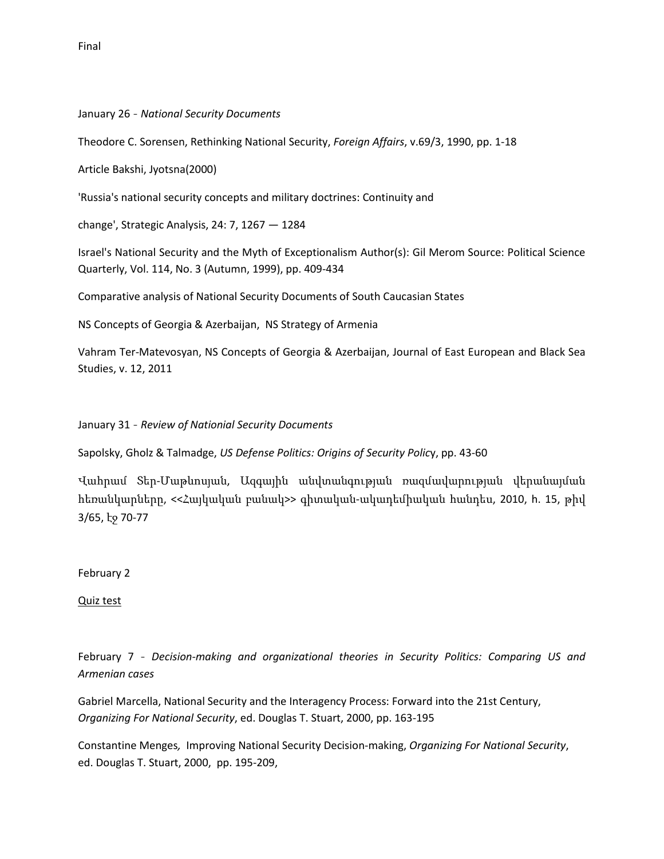January 26 - *National Security Documents*

Theodore C. Sorensen, Rethinking National Security, *Foreign Affairs*, v.69/3, 1990, pp. 1-18

Article Bakshi, Jyotsna(2000)

'Russia's national security concepts and military doctrines: Continuity and

change', Strategic Analysis, 24: 7, 1267 — 1284

Israel's National Security and the Myth of Exceptionalism Author(s): Gil Merom Source: Political Science Quarterly, Vol. 114, No. 3 (Autumn, 1999), pp. 409-434

Comparative analysis of National Security Documents of South Caucasian States

NS Concepts of Georgia & Azerbaijan, NS Strategy of Armenia

Vahram Ter-Matevosyan, NS Concepts of Georgia & Azerbaijan, Journal of East European and Black Sea Studies, v. 12, 2011

January 31 - *Review of Nationial Security Documents*

Sapolsky, Gholz & Talmadge, *US Defense Politics: Origins of Security Polic*y, pp. 43-60

Վահրամ Տեր-Մաթևոսյան, Ազգային անվտանգության ռազմավարության վերանայման հեռանկարները, <<Հայկական բանակ>> գիտական-ակադեմիական հանդես, 2010, h. 15, թիվ 3/65, էջ 70-77

February 2

Quiz test

February 7 - *Decision-making and organizational theories in Security Politics: Comparing US and Armenian cases*

Gabriel Marcella, National Security and the Interagency Process: Forward into the 21st Century, *Organizing For National Security*, ed. Douglas T. Stuart, 2000, pp. 163-195

Constantine Menges*,* Improving National Security Decision-making, *Organizing For National Security*, ed. Douglas T. Stuart, 2000, pp. 195-209,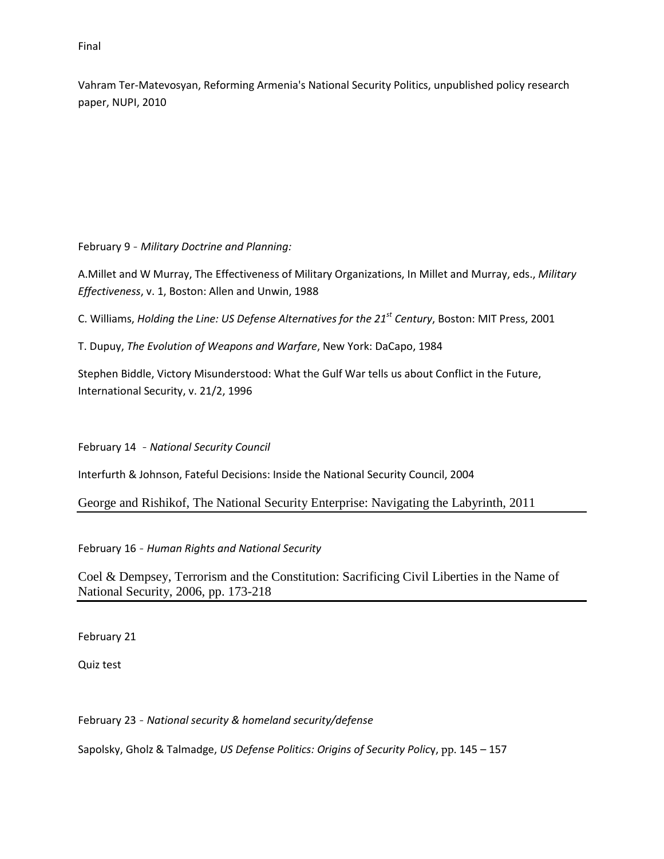Vahram Ter-Matevosyan, Reforming Armenia's National Security Politics, unpublished policy research paper, NUPI, 2010

February 9 - *Military Doctrine and Planning:*

A.Millet and W Murray, The Effectiveness of Military Organizations, In Millet and Murray, eds., *Military Effectiveness*, v. 1, Boston: Allen and Unwin, 1988

C. Williams, *Holding the Line: US Defense Alternatives for the 21st Century*, Boston: MIT Press, 2001

T. Dupuy, *The Evolution of Weapons and Warfare*, New York: DaCapo, 1984

Stephen Biddle, Victory Misunderstood: What the Gulf War tells us about Conflict in the Future, International Security, v. 21/2, 1996

February 14 - *National Security Council*

Interfurth & Johnson, Fateful Decisions: Inside the National Security Council, 2004

George and Rishikof, The National Security Enterprise: Navigating the Labyrinth, 2011

February 16 - *Human Rights and National Security* 

Coel & Dempsey, Terrorism and the Constitution: Sacrificing Civil Liberties in the Name of National Security, 2006, pp. 173-218

February 21

Quiz test

February 23 - *National security & homeland security/defense*

Sapolsky, Gholz & Talmadge, *US Defense Politics: Origins of Security Polic*y, pp. 145 – 157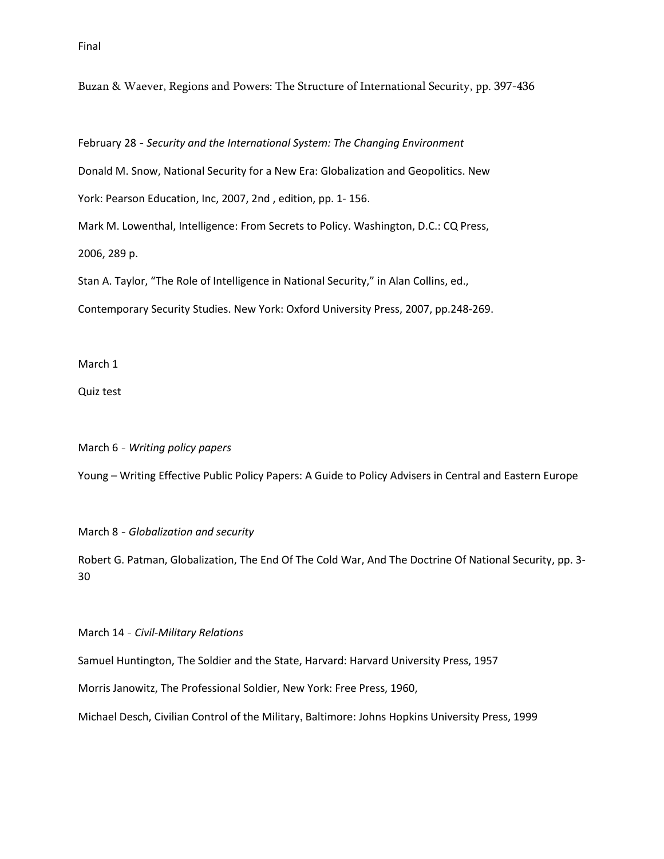Buzan & Waever, Regions and Powers: The Structure of International Security, pp. 397-436

February 28 - *Security and the International System: The Changing Environment*

Donald M. Snow, National Security for a New Era: Globalization and Geopolitics. New

York: Pearson Education, Inc, 2007, 2nd , edition, pp. 1- 156.

Mark M. Lowenthal, Intelligence: From Secrets to Policy. Washington, D.C.: CQ Press,

2006, 289 p.

Stan A. Taylor, "The Role of Intelligence in National Security," in Alan Collins, ed.,

Contemporary Security Studies. New York: Oxford University Press, 2007, pp.248-269.

March 1

Quiz test

March 6 - *Writing policy papers*

Young – Writing Effective Public Policy Papers: A Guide to Policy Advisers in Central and Eastern Europe

March 8 - *Globalization and security* 

Robert G. Patman, Globalization, The End Of The Cold War, And The Doctrine Of National Security, pp. 3- 30

March 14 - *Civil-Military Relations*

Samuel Huntington, The Soldier and the State, Harvard: Harvard University Press, 1957

Morris Janowitz, The Professional Soldier, New York: Free Press, 1960,

Michael Desch, Civilian Control of the Military, Baltimore: Johns Hopkins University Press, 1999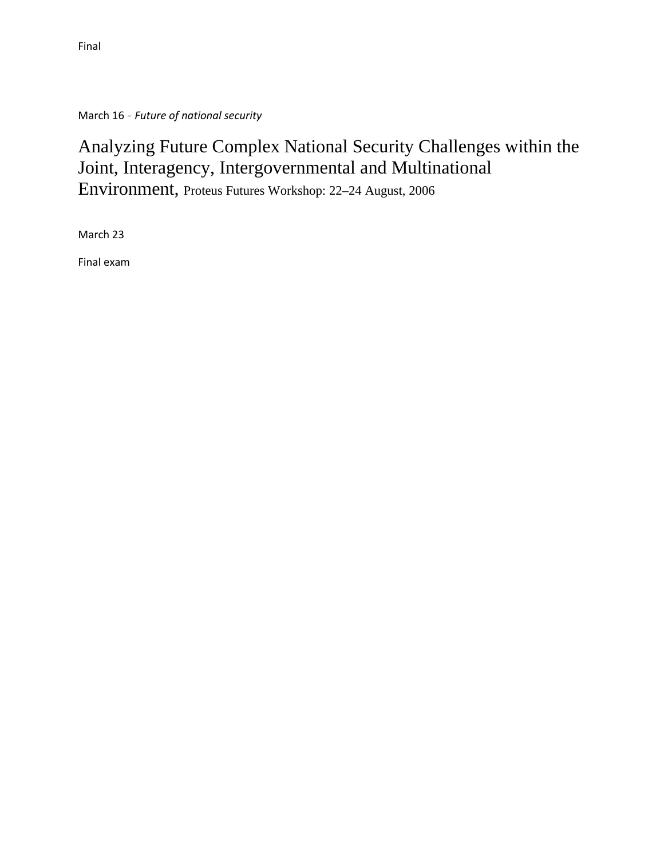March 16 - *Future of national security* 

# Analyzing Future Complex National Security Challenges within the Joint, Interagency, Intergovernmental and Multinational Environment, Proteus Futures Workshop: 22–24 August, 2006

March 23

Final exam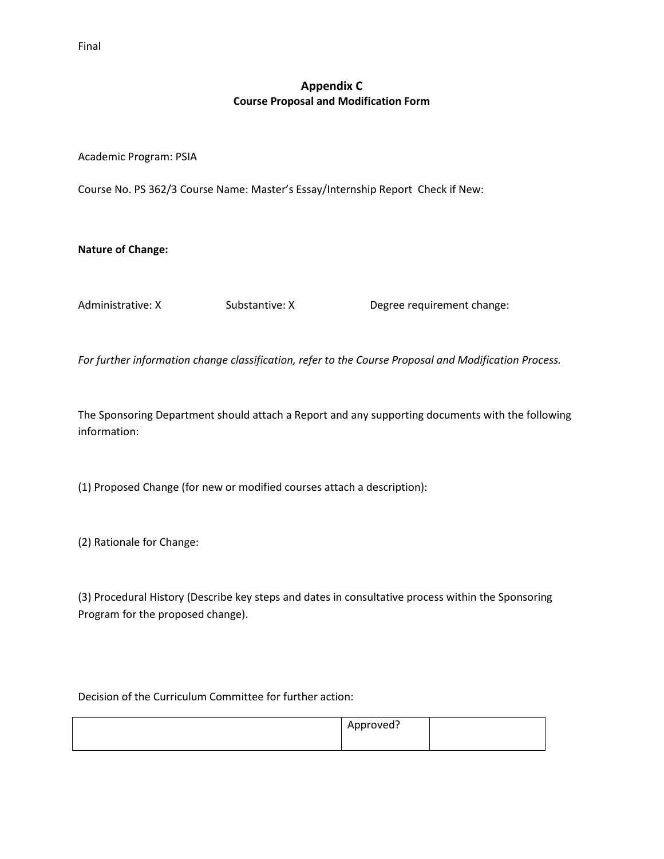# **Appendix C Course Proposal and Modification Form**

Academic Program: PSIA

Course No. PS 362/3 Course Name: Master's Essay/Internship Report Check if New:

**Nature of Change:**

Administrative: X Substantive: X Degree requirement change:

*For further information change classification, refer to the Course Proposal and Modification Process.*

The Sponsoring Department should attach a Report and any supporting documents with the following information:

(1) Proposed Change (for new or modified courses attach a description):

(2) Rationale for Change:

(3) Procedural History (Describe key steps and dates in consultative process within the Sponsoring Program for the proposed change).

Decision of the Curriculum Committee for further action:

| Approved? |  |
|-----------|--|
|           |  |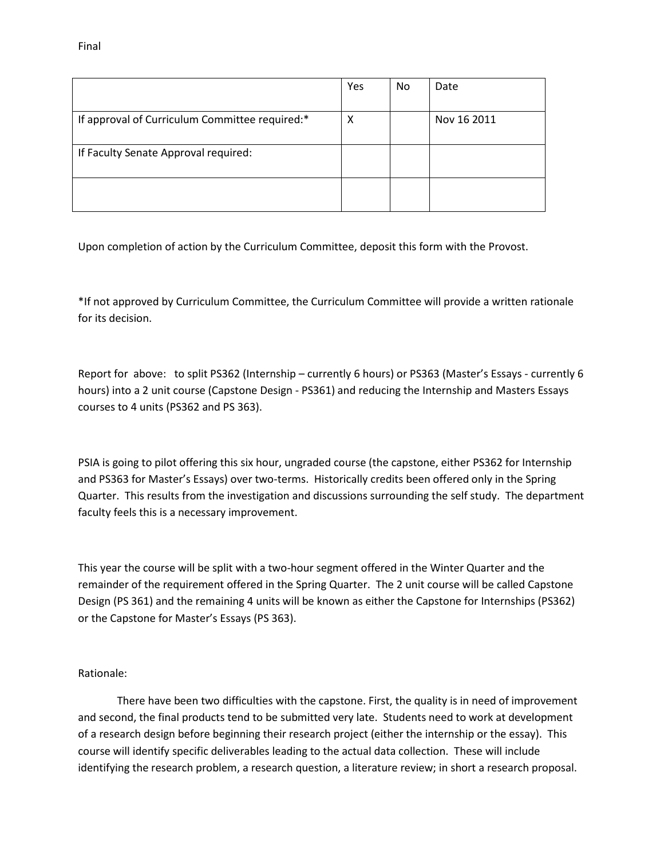| . .<br>v |  |
|----------|--|
|----------|--|

|                                                | Yes | <b>No</b> | Date        |
|------------------------------------------------|-----|-----------|-------------|
| If approval of Curriculum Committee required:* | x   |           | Nov 16 2011 |
| If Faculty Senate Approval required:           |     |           |             |
|                                                |     |           |             |

Upon completion of action by the Curriculum Committee, deposit this form with the Provost.

\*If not approved by Curriculum Committee, the Curriculum Committee will provide a written rationale for its decision.

Report for above: to split PS362 (Internship – currently 6 hours) or PS363 (Master's Essays - currently 6 hours) into a 2 unit course (Capstone Design - PS361) and reducing the Internship and Masters Essays courses to 4 units (PS362 and PS 363).

PSIA is going to pilot offering this six hour, ungraded course (the capstone, either PS362 for Internship and PS363 for Master's Essays) over two-terms. Historically credits been offered only in the Spring Quarter. This results from the investigation and discussions surrounding the self study. The department faculty feels this is a necessary improvement.

This year the course will be split with a two-hour segment offered in the Winter Quarter and the remainder of the requirement offered in the Spring Quarter. The 2 unit course will be called Capstone Design (PS 361) and the remaining 4 units will be known as either the Capstone for Internships (PS362) or the Capstone for Master's Essays (PS 363).

Rationale:

There have been two difficulties with the capstone. First, the quality is in need of improvement and second, the final products tend to be submitted very late. Students need to work at development of a research design before beginning their research project (either the internship or the essay). This course will identify specific deliverables leading to the actual data collection. These will include identifying the research problem, a research question, a literature review; in short a research proposal.